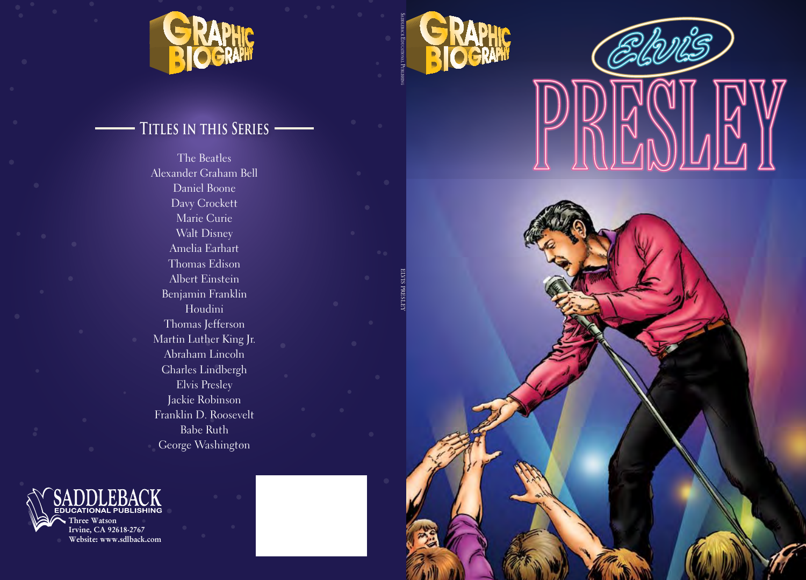



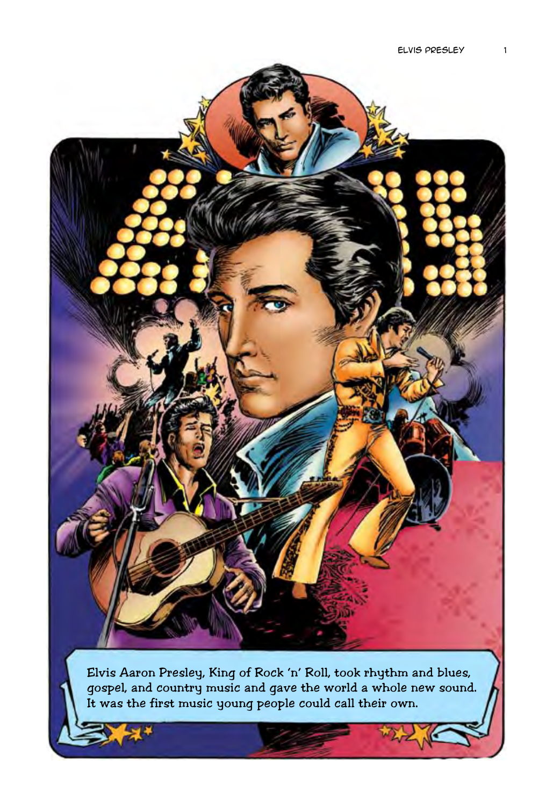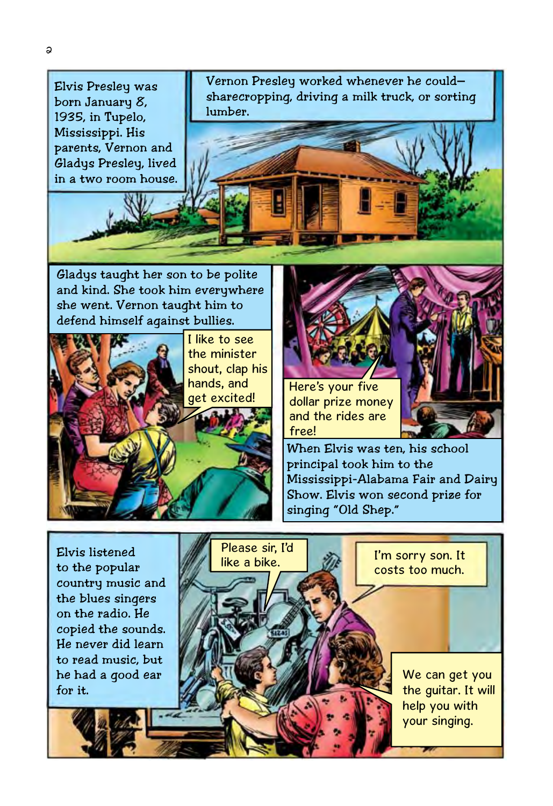

We can get you the guitar. It will help you with your singing.

for it.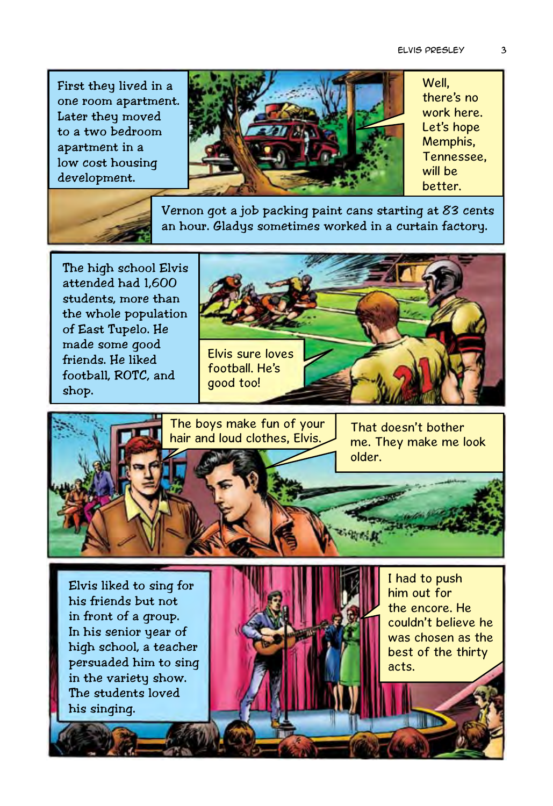First they lived in a one room apartment. Later they moved to a two bedroom apartment in a low cost housing development.



Well, there's no work here. Let's hope Memphis, Tennessee, will be better.



Vernon got a job packing paint cans starting at 83 cents an hour. Gladys sometimes worked in a curtain factory.

The high school Elvis attended had 1,600 students, more than the whole population of East Tupelo. He made some good friends. He liked football, ROTC, and shop.





Elvis liked to sing for his friends but not in front of a group. In his senior year of high school, a teacher persuaded him to sing in the variety show. The students loved his singing.



I had to push him out for the encore. He couldn't believe he was chosen as the best of the thirty acts.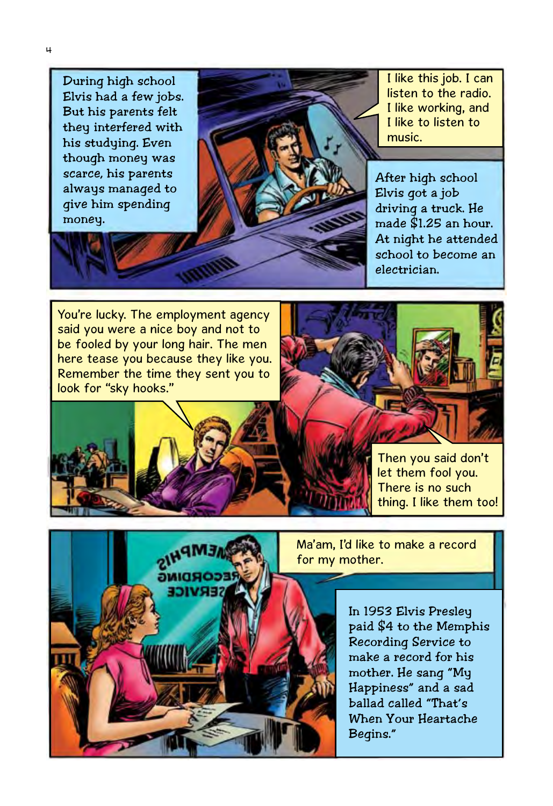During high school Elvis had a few jobs. But his parents felt they interfered with his studying. Even though money was scarce, his parents always managed to give him spending money.



I like this job. I can listen to the radio. I like working, and I like to listen to music.

After high school Elvis got a job driving a truck. He made \$1.25 an hour. At night he attended school to become an electrician.

You're lucky. The employment agency said you were a nice boy and not to be fooled by your long hair. The men here tease you because they like you. Remember the time they sent you to look for "sky hooks."



Then you said don't let them fool you. There is no such thing. I like them too!



Ma'am, I'd like to make a record for my mother.

> In 1953 Elvis Presley paid \$4 to the Memphis Recording Service to make a record for his mother. He sang "My Happiness" and a sad ballad called "That's When Your Heartache Begins."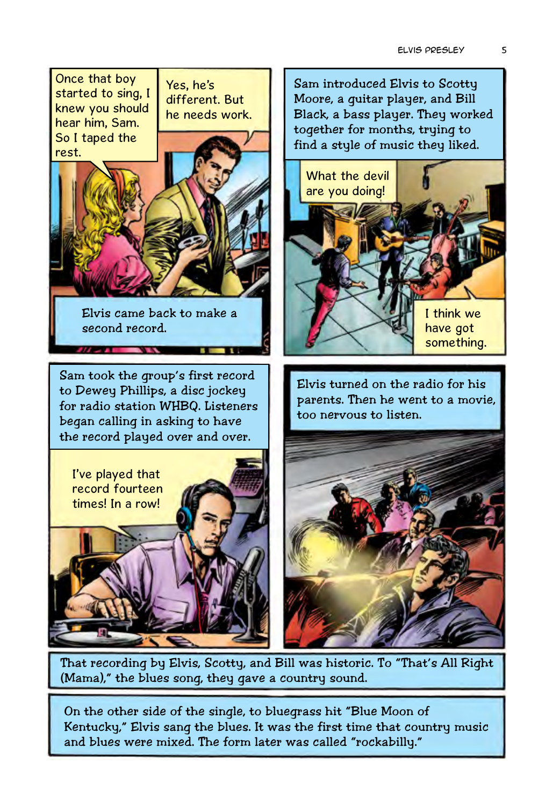

(Mama)," the blues song, they gave a country sound.

On the other side of the single, to bluegrass hit "Blue Moon of Kentucky," Elvis sang the blues. It was the first time that country music and blues were mixed. The form later was called "rockabilly."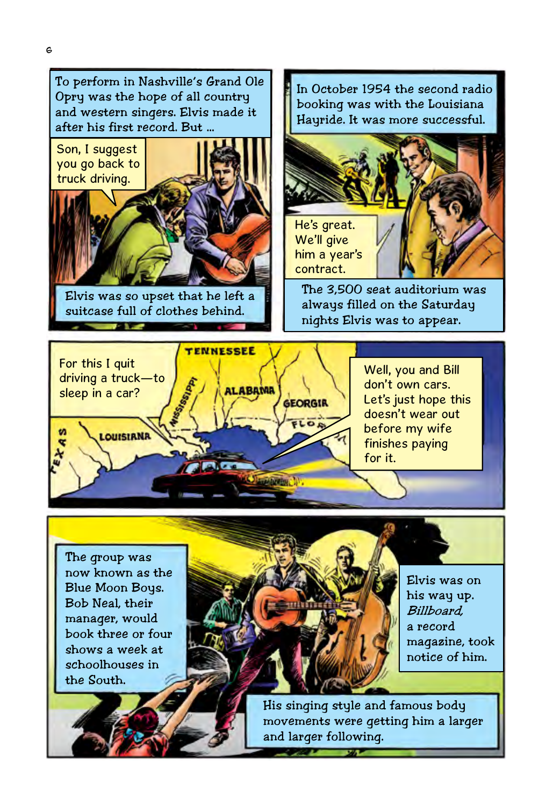

Elvis was so upset that he left a suitcase full of clothes behind.

booking was with the Louisiana Hayride. It was more successful.



The 3,500 seat auditorium was always filled on the Saturday nights Elvis was to appear.



Well, you and Bill don't own cars. Let's just hope this doesn't wear out before my wife finishes paying for it.

The group was now known as the Blue Moon Boys. Bob Neal, their manager, would book three or four shows a week at schoolhouses in the South.



Elvis was on his way up. Billboard, a record magazine, took notice of him.

His singing style and famous body movements were getting him a larger and larger following.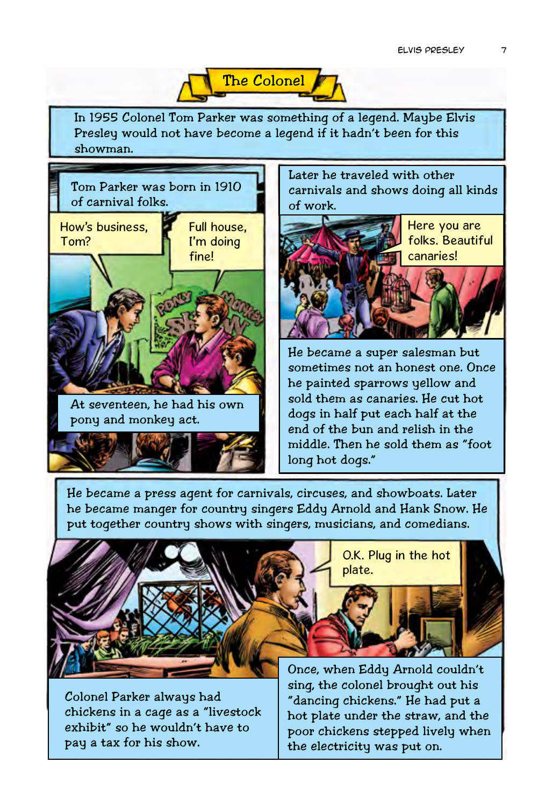

In 1955 Colonel Tom Parker was something of a legend. Maybe Elvis Presley would not have become a legend if it hadn't been for this showman.



Later he traveled with other carnivals and shows doing all kinds of work.



He became a super salesman but sometimes not an honest one. Once he painted sparrows yellow and sold them as canaries. He cut hot dogs in half put each half at the end of the bun and relish in the middle. Then he sold them as "foot long hot dogs."

He became a press agent for carnivals, circuses, and showboats. Later he became manger for country singers Eddy Arnold and Hank Snow. He put together country shows with singers, musicians, and comedians.



Colonel Parker always had chickens in a cage as a "livestock exhibit" so he wouldn't have to pay a tax for his show.

Once, when Eddy Arnold couldn't sing, the colonel brought out his "dancing chickens." He had put a hot plate under the straw, and the poor chickens stepped lively when the electricity was put on.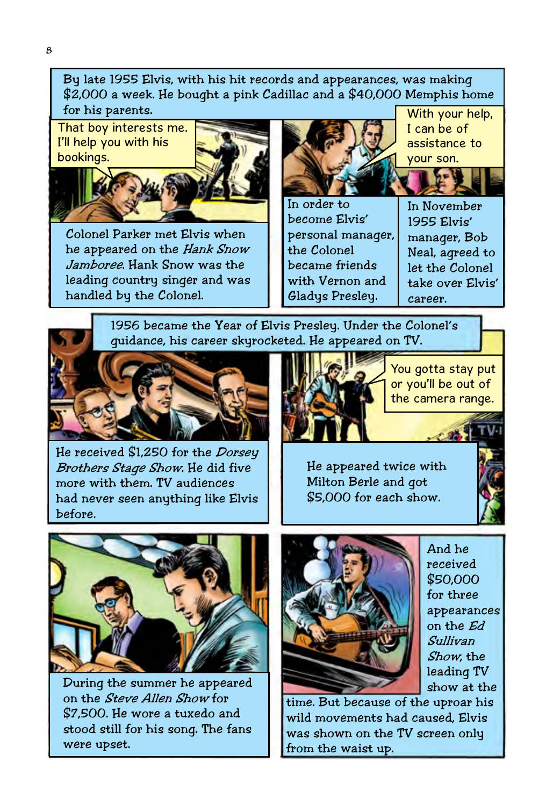By late 1955 Elvis, with his hit records and appearances, was making \$2,000 a week. He bought a pink Cadillac and a \$40,000 Memphis home for his parents.

That boy interests me. I'll help you with his bookings.



Colonel Parker met Elvis when he appeared on the Hank Snow Jamboree. Hank Snow was the leading country singer and was handled by the Colonel.



With your help, I can be of assistance to your son.

In order to become Elvis' personal manager, the Colonel became friends with Vernon and Gladys Presley.

In November 1955 Elvis' manager, Bob Neal, agreed to let the Colonel take over Elvis' career.

1956 became the Year of Elvis Presley. Under the Colonel's guidance, his career skyrocketed. He appeared on TV.



He received \$1,250 for the *Dorsey* Brothers Stage Show. He did five more with them. TV audiences had never seen anything like Elvis before.



You gotta stay put or you'll be out of the camera range.

He appeared twice with Milton Berle and got \$5,000 for each show.



During the summer he appeared on the Steve Allen Show for \$7,500. He wore a tuxedo and stood still for his song. The fans were upset.



And he received \$50,000 for three appearances on the Ed Sullivan Show, the leading TV show at the

time. But because of the uproar his wild movements had caused, Elvis was shown on the TV screen only from the waist up.